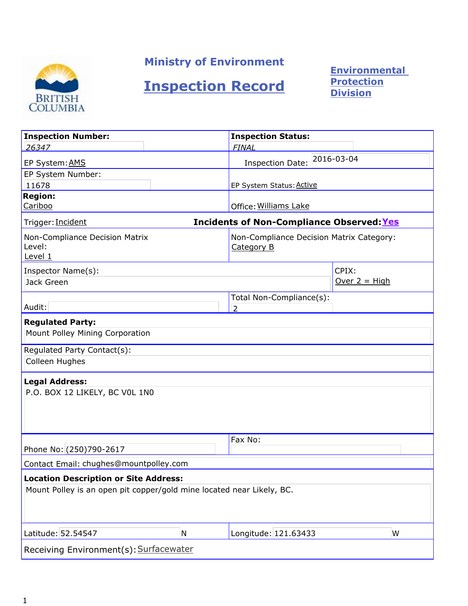

## **Ministry of Environment**

# **Inspection Record**

**Environmental Protection Division**

| <b>Inspection Number:</b>                                                                                             | <b>Inspection Status:</b>                              |                 |
|-----------------------------------------------------------------------------------------------------------------------|--------------------------------------------------------|-----------------|
| 26347                                                                                                                 | <b>FINAL</b>                                           |                 |
| EP System: AMS                                                                                                        | <b>Inspection Date:</b>                                | 2016-03-04      |
| EP System Number:                                                                                                     |                                                        |                 |
| 11678                                                                                                                 | EP System Status: Active                               |                 |
| <b>Region:</b><br>Cariboo                                                                                             | Office: Williams Lake                                  |                 |
| Trigger: Incident                                                                                                     | <b>Incidents of Non-Compliance Observed: Yes</b>       |                 |
| Non-Compliance Decision Matrix<br>Level:<br>Level 1                                                                   | Non-Compliance Decision Matrix Category:<br>Category B |                 |
| Inspector Name(s):                                                                                                    |                                                        | CPIX:           |
| Jack Green                                                                                                            |                                                        | Over $2 = High$ |
| Audit:                                                                                                                | Total Non-Compliance(s):<br>$\overline{2}$             |                 |
| <b>Regulated Party:</b><br>Mount Polley Mining Corporation                                                            |                                                        |                 |
| Regulated Party Contact(s):<br>Colleen Hughes                                                                         |                                                        |                 |
| <b>Legal Address:</b><br>P.O. BOX 12 LIKELY, BC VOL 1N0                                                               |                                                        |                 |
|                                                                                                                       | Fax No:                                                |                 |
| Phone No: (250)790-2617                                                                                               |                                                        |                 |
| Contact Email: chughes@mountpolley.com                                                                                |                                                        |                 |
| <b>Location Description or Site Address:</b><br>Mount Polley is an open pit copper/gold mine located near Likely, BC. |                                                        |                 |
| Latitude: 52.54547<br>N                                                                                               | Longitude: 121.63433                                   | W               |
| Receiving Environment(s): Surfacewater                                                                                |                                                        |                 |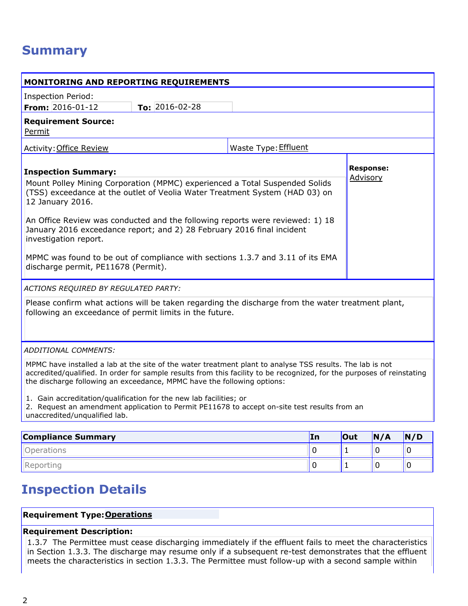## **Summary**

| MONITORING AND REPORTING REQUIREMENTS                                                                                                                                                                                                                                                                                                                                                                                                                                                                                                                     |                      |                      |    |     |     |     |
|-----------------------------------------------------------------------------------------------------------------------------------------------------------------------------------------------------------------------------------------------------------------------------------------------------------------------------------------------------------------------------------------------------------------------------------------------------------------------------------------------------------------------------------------------------------|----------------------|----------------------|----|-----|-----|-----|
| <b>Inspection Period:</b>                                                                                                                                                                                                                                                                                                                                                                                                                                                                                                                                 |                      |                      |    |     |     |     |
| <b>From:</b> $2016 - 01 - 12$                                                                                                                                                                                                                                                                                                                                                                                                                                                                                                                             | To: $2016 - 02 - 28$ |                      |    |     |     |     |
| <b>Requirement Source:</b><br>Permit                                                                                                                                                                                                                                                                                                                                                                                                                                                                                                                      |                      |                      |    |     |     |     |
| <b>Activity: Office Review</b>                                                                                                                                                                                                                                                                                                                                                                                                                                                                                                                            |                      | Waste Type: Effluent |    |     |     |     |
| <b>Response:</b><br><b>Inspection Summary:</b><br>Advisory<br>Mount Polley Mining Corporation (MPMC) experienced a Total Suspended Solids<br>(TSS) exceedance at the outlet of Veolia Water Treatment System (HAD 03) on<br>12 January 2016.<br>An Office Review was conducted and the following reports were reviewed: 1) 18<br>January 2016 exceedance report; and 2) 28 February 2016 final incident<br>investigation report.<br>MPMC was found to be out of compliance with sections 1.3.7 and 3.11 of its EMA<br>discharge permit, PE11678 (Permit). |                      |                      |    |     |     |     |
| ACTIONS REQUIRED BY REGULATED PARTY:<br>Please confirm what actions will be taken regarding the discharge from the water treatment plant,<br>following an exceedance of permit limits in the future.                                                                                                                                                                                                                                                                                                                                                      |                      |                      |    |     |     |     |
| ADDITIONAL COMMENTS:<br>MPMC have installed a lab at the site of the water treatment plant to analyse TSS results. The lab is not<br>accredited/qualified. In order for sample results from this facility to be recognized, for the purposes of reinstating<br>the discharge following an exceedance, MPMC have the following options:<br>1. Gain accreditation/qualification for the new lab facilities; or<br>2. Request an amendment application to Permit PE11678 to accept on-site test results from an<br>unaccredited/unqualified lab.             |                      |                      |    |     |     |     |
| <b>Compliance Summary</b>                                                                                                                                                                                                                                                                                                                                                                                                                                                                                                                                 |                      |                      | In | Out | N/A | N/D |

| compliance Summary | μn | <b>IOUT</b> | IN/A | IN/D |
|--------------------|----|-------------|------|------|
| Jperations         |    |             |      |      |
|                    |    |             |      |      |

### **Inspection Details**

### **Requirement Type: Operations**

### **Requirement Description:**

1.3.7 The Permittee must cease discharging immediately if the effluent fails to meet the characteristics in Section 1.3.3. The discharge may resume only if a subsequent re-test demonstrates that the effluent meets the characteristics in section 1.3.3. The Permittee must follow-up with a second sample within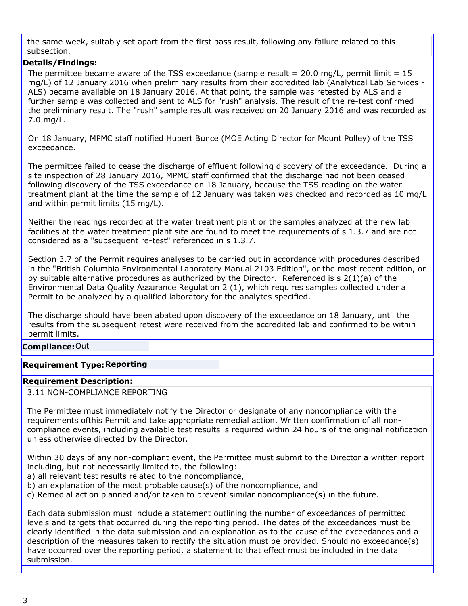the same week, suitably set apart from the first pass result, following any failure related to this subsection.

#### **Details/Findings:**

The permittee became aware of the TSS exceedance (sample result = 20.0 mg/L, permit limit =  $15$ ) mg/L) of 12 January 2016 when preliminary results from their accredited lab (Analytical Lab Services - ALS) became available on 18 January 2016. At that point, the sample was retested by ALS and a further sample was collected and sent to ALS for "rush" analysis. The result of the re-test confirmed the preliminary result. The "rush" sample result was received on 20 January 2016 and was recorded as 7.0 mg/L.

On 18 January, MPMC staff notified Hubert Bunce (MOE Acting Director for Mount Polley) of the TSS exceedance.

The permittee failed to cease the discharge of effluent following discovery of the exceedance. During a site inspection of 28 January 2016, MPMC staff confirmed that the discharge had not been ceased following discovery of the TSS exceedance on 18 January, because the TSS reading on the water treatment plant at the time the sample of 12 January was taken was checked and recorded as 10 mg/L and within permit limits (15 mg/L).

Neither the readings recorded at the water treatment plant or the samples analyzed at the new lab facilities at the water treatment plant site are found to meet the requirements of s 1.3.7 and are not considered as a "subsequent re-test" referenced in s 1.3.7.

Section 3.7 of the Permit requires analyses to be carried out in accordance with procedures described in the "British Columbia Environmental Laboratory Manual 2103 Edition", or the most recent edition, or by suitable alternative procedures as authorized by the Director. Referenced is s 2(1)(a) of the Environmental Data Quality Assurance Regulation 2 (1), which requires samples collected under a Permit to be analyzed by a qualified laboratory for the analytes specified.

The discharge should have been abated upon discovery of the exceedance on 18 January, until the results from the subsequent retest were received from the accredited lab and confirmed to be within permit limits.

#### **Compliance:**Out

#### **Requirement Type:Reporting**

#### **Requirement Description:**

3.11 NON-COMPLIANCE REPORTING

The Permittee must immediately notify the Director or designate of any noncompliance with the requirements ofthis Permit and take appropriate remedial action. Written confirmation of all noncompliance events, including available test results is required within 24 hours of the original notification unless otherwise directed by the Director.

Within 30 days of any non-compliant event, the Perrnittee must submit to the Director a written report including, but not necessarily limited to, the following:

- a) all relevant test results related to the noncompliance,
- b) an explanation of the most probable cause(s) of the noncompliance, and
- c) Remedial action planned and/or taken to prevent similar noncompliance(s) in the future.

Each data submission must include a statement outlining the number of exceedances of permitted levels and targets that occurred during the reporting period. The dates of the exceedances must be clearly identified in the data submission and an explanation as to the cause of the exceedances and a description of the measures taken to rectify the situation must be provided. Should no exceedance(s) have occurred over the reporting period, a statement to that effect must be included in the data submission.